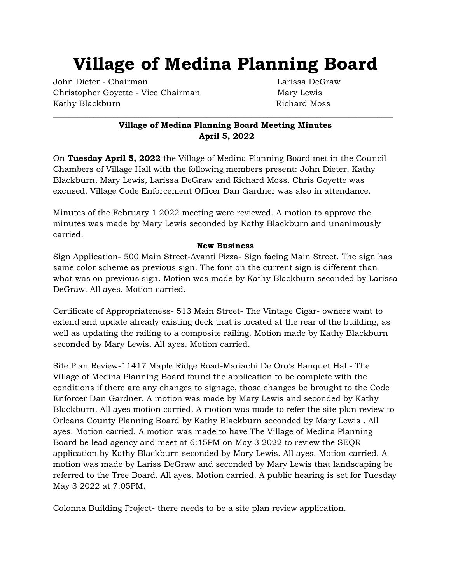# **Village of Medina Planning Board**

John Dieter - Chairman Larissa DeGraw Christopher Goyette - Vice Chairman Mary Lewis Kathy Blackburn **Richard Moss** 

# **Village of Medina Planning Board Meeting Minutes April 5, 2022**

\_\_\_\_\_\_\_\_\_\_\_\_\_\_\_\_\_\_\_\_\_\_\_\_\_\_\_\_\_\_\_\_\_\_\_\_\_\_\_\_\_\_\_\_\_\_\_\_\_\_\_\_\_\_\_\_\_\_\_\_\_\_\_\_\_\_\_\_\_\_\_\_\_\_\_\_\_\_\_\_\_\_\_\_

On **Tuesday April 5, 2022** the Village of Medina Planning Board met in the Council Chambers of Village Hall with the following members present: John Dieter, Kathy Blackburn, Mary Lewis, Larissa DeGraw and Richard Moss. Chris Goyette was excused. Village Code Enforcement Officer Dan Gardner was also in attendance.

Minutes of the February 1 2022 meeting were reviewed. A motion to approve the minutes was made by Mary Lewis seconded by Kathy Blackburn and unanimously carried.

## **New Business**

Sign Application- 500 Main Street-Avanti Pizza- Sign facing Main Street. The sign has same color scheme as previous sign. The font on the current sign is different than what was on previous sign. Motion was made by Kathy Blackburn seconded by Larissa DeGraw. All ayes. Motion carried.

Certificate of Appropriateness- 513 Main Street- The Vintage Cigar- owners want to extend and update already existing deck that is located at the rear of the building, as well as updating the railing to a composite railing. Motion made by Kathy Blackburn seconded by Mary Lewis. All ayes. Motion carried.

Site Plan Review-11417 Maple Ridge Road-Mariachi De Oro's Banquet Hall- The Village of Medina Planning Board found the application to be complete with the conditions if there are any changes to signage, those changes be brought to the Code Enforcer Dan Gardner. A motion was made by Mary Lewis and seconded by Kathy Blackburn. All ayes motion carried. A motion was made to refer the site plan review to Orleans County Planning Board by Kathy Blackburn seconded by Mary Lewis . All ayes. Motion carried. A motion was made to have The Village of Medina Planning Board be lead agency and meet at 6:45PM on May 3 2022 to review the SEQR application by Kathy Blackburn seconded by Mary Lewis. All ayes. Motion carried. A motion was made by Lariss DeGraw and seconded by Mary Lewis that landscaping be referred to the Tree Board. All ayes. Motion carried. A public hearing is set for Tuesday May 3 2022 at 7:05PM.

Colonna Building Project- there needs to be a site plan review application.